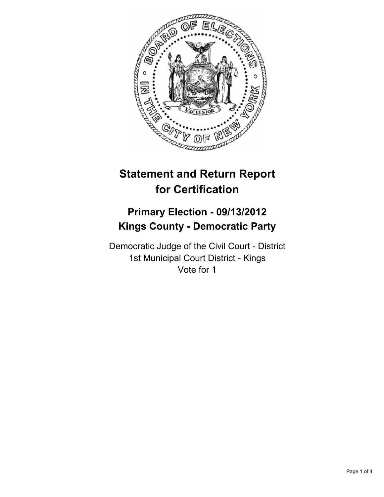

# **Statement and Return Report for Certification**

## **Primary Election - 09/13/2012 Kings County - Democratic Party**

Democratic Judge of the Civil Court - District 1st Municipal Court District - Kings Vote for 1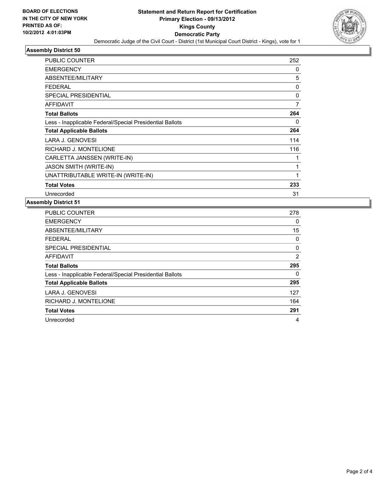

### **Assembly District 50**

| <b>PUBLIC COUNTER</b>                                    | 252 |
|----------------------------------------------------------|-----|
| <b>EMERGENCY</b>                                         | 0   |
| ABSENTEE/MILITARY                                        | 5   |
| FEDERAL                                                  | 0   |
| SPECIAL PRESIDENTIAL                                     | 0   |
| <b>AFFIDAVIT</b>                                         | 7   |
| <b>Total Ballots</b>                                     | 264 |
| Less - Inapplicable Federal/Special Presidential Ballots | 0   |
| <b>Total Applicable Ballots</b>                          | 264 |
| LARA J. GENOVESI                                         | 114 |
| RICHARD J. MONTELIONE                                    | 116 |
| CARLETTA JANSSEN (WRITE-IN)                              |     |
| <b>JASON SMITH (WRITE-IN)</b>                            | 1   |
| UNATTRIBUTABLE WRITE-IN (WRITE-IN)                       | 1   |
| <b>Total Votes</b>                                       | 233 |
| Unrecorded                                               | 31  |

#### **Assembly District 51**

| PUBLIC COUNTER                                           | 278 |
|----------------------------------------------------------|-----|
| <b>EMERGENCY</b>                                         | 0   |
| ABSENTEE/MILITARY                                        | 15  |
| <b>FEDERAL</b>                                           | 0   |
| <b>SPECIAL PRESIDENTIAL</b>                              | 0   |
| <b>AFFIDAVIT</b>                                         | 2   |
| <b>Total Ballots</b>                                     | 295 |
| Less - Inapplicable Federal/Special Presidential Ballots | 0   |
| <b>Total Applicable Ballots</b>                          | 295 |
| LARA J. GENOVESI                                         | 127 |
| RICHARD J. MONTELIONE                                    | 164 |
| <b>Total Votes</b>                                       | 291 |
| Unrecorded                                               | 4   |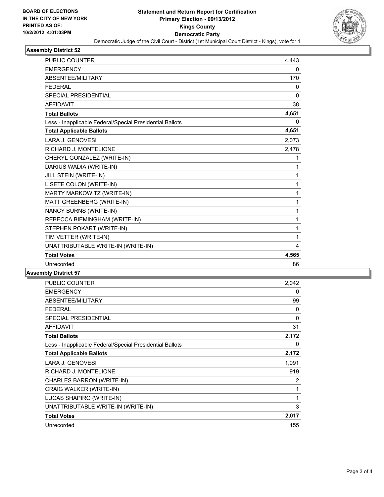

#### **Assembly District 52**

| <b>PUBLIC COUNTER</b>                                    | 4,443        |
|----------------------------------------------------------|--------------|
| <b>EMERGENCY</b>                                         | 0            |
| <b>ABSENTEE/MILITARY</b>                                 | 170          |
| <b>FEDERAL</b>                                           | 0            |
| <b>SPECIAL PRESIDENTIAL</b>                              | $\mathbf{0}$ |
| <b>AFFIDAVIT</b>                                         | 38           |
| <b>Total Ballots</b>                                     | 4,651        |
| Less - Inapplicable Federal/Special Presidential Ballots | 0            |
| <b>Total Applicable Ballots</b>                          | 4,651        |
| <b>LARA J. GENOVESI</b>                                  | 2,073        |
| RICHARD J. MONTELIONE                                    | 2,478        |
| CHERYL GONZALEZ (WRITE-IN)                               | 1            |
| DARIUS WADIA (WRITE-IN)                                  | 1            |
| JILL STEIN (WRITE-IN)                                    | 1            |
| LISETE COLON (WRITE-IN)                                  | 1            |
| MARTY MARKOWITZ (WRITE-IN)                               | 1            |
| MATT GREENBERG (WRITE-IN)                                | 1            |
| <b>NANCY BURNS (WRITE-IN)</b>                            | 1            |
| REBECCA BIEMINGHAM (WRITE-IN)                            | 1            |
| STEPHEN POKART (WRITE-IN)                                | 1            |
| TIM VETTER (WRITE-IN)                                    | 1            |
| UNATTRIBUTABLE WRITE-IN (WRITE-IN)                       | 4            |
| <b>Total Votes</b>                                       | 4,565        |
| Unrecorded                                               | 86           |

#### **Assembly District 57**

| <b>PUBLIC COUNTER</b>                                    | 2,042 |
|----------------------------------------------------------|-------|
| <b>EMERGENCY</b>                                         | 0     |
| ABSENTEE/MILITARY                                        | 99    |
| FEDERAL                                                  | 0     |
| <b>SPECIAL PRESIDENTIAL</b>                              | 0     |
| <b>AFFIDAVIT</b>                                         | 31    |
| <b>Total Ballots</b>                                     | 2,172 |
| Less - Inapplicable Federal/Special Presidential Ballots | 0     |
| <b>Total Applicable Ballots</b>                          | 2,172 |
| LARA J. GENOVESI                                         | 1,091 |
| RICHARD J. MONTELIONE                                    | 919   |
| CHARLES BARRON (WRITE-IN)                                | 2     |
| CRAIG WALKER (WRITE-IN)                                  | 1     |
| LUCAS SHAPIRO (WRITE-IN)                                 | 1     |
| UNATTRIBUTABLE WRITE-IN (WRITE-IN)                       | 3     |
| <b>Total Votes</b>                                       | 2,017 |
| Unrecorded                                               | 155   |